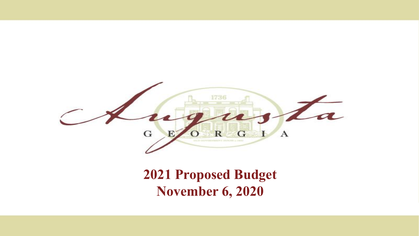

### **2021 Proposed Budget November 6, 2020**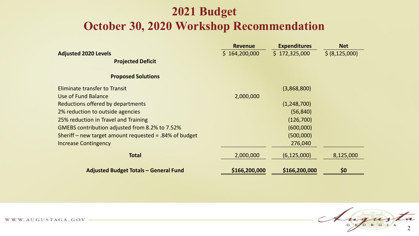#### **2021 Budget October 30, 2020 Workshop Recommendation**

|                                                           | <b>Revenue</b> | <b>Expenditures</b> | <b>Net</b>       |
|-----------------------------------------------------------|----------------|---------------------|------------------|
| <b>Adjusted 2020 Levels</b>                               | \$164,200,000  | \$172,325,000       | \$ (8, 125, 000) |
| <b>Projected Deficit</b>                                  |                |                     |                  |
| <b>Proposed Solutions</b>                                 |                |                     |                  |
| Eliminate transfer to Transit                             |                | (3,868,800)         |                  |
| Use of Fund Balance                                       | 2,000,000      |                     |                  |
| Reductions offered by departments                         |                | (1,248,700)         |                  |
| 2% reduction to outside agencies                          |                | (56, 840)           |                  |
| 25% reduction in Travel and Training                      |                | (126,700)           |                  |
| GMEBS contribution adjusted from 8.2% to 7.52%            |                | (600,000)           |                  |
| Sheriff – new target amount requested = $.84\%$ of budget |                | (500,000)           |                  |
| <b>Increase Contingency</b>                               |                | 276,040             |                  |
| <b>Total</b>                                              | 2,000,000      | (6, 125, 000)       | 8,125,000        |
| <b>Adjusted Budget Totals - General Fund</b>              | \$166,200,000  | \$166,200,000       | \$0              |

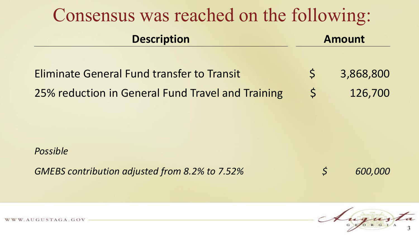| Consensus was reached on the following:           |              |               |  |  |  |
|---------------------------------------------------|--------------|---------------|--|--|--|
| <b>Description</b>                                |              | <b>Amount</b> |  |  |  |
| <b>Eliminate General Fund transfer to Transit</b> | $\mathsf{S}$ | 3,868,800     |  |  |  |
| 25% reduction in General Fund Travel and Training | $\mathsf{S}$ | 126,700       |  |  |  |

*Possible* 

*GMEBS contribution adjusted from 8.2% to 7.52% \$ 600,000* 

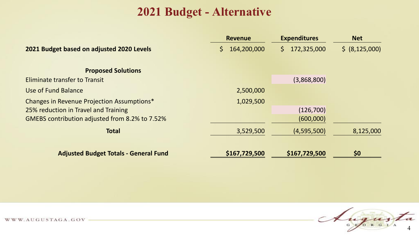#### **2021 Budget - Alternative**

|                                                | <b>Revenue</b>    | <b>Expenditures</b> | <b>Net</b>     |  |
|------------------------------------------------|-------------------|---------------------|----------------|--|
| 2021 Budget based on adjusted 2020 Levels      | 164,200,000<br>S. | 172,325,000<br>S.   | \$ (8,125,000) |  |
| <b>Proposed Solutions</b>                      |                   |                     |                |  |
| Eliminate transfer to Transit                  |                   | (3,868,800)         |                |  |
| Use of Fund Balance                            | 2,500,000         |                     |                |  |
| Changes in Revenue Projection Assumptions*     | 1,029,500         |                     |                |  |
| 25% reduction in Travel and Training           |                   | (126,700)           |                |  |
| GMEBS contribution adjusted from 8.2% to 7.52% |                   | (600,000)           |                |  |
| <b>Total</b>                                   | 3,529,500         | (4,595,500)         | 8,125,000      |  |
| <b>Adjusted Budget Totals - General Fund</b>   | \$167,729,500     | \$167,729,500       | \$0            |  |

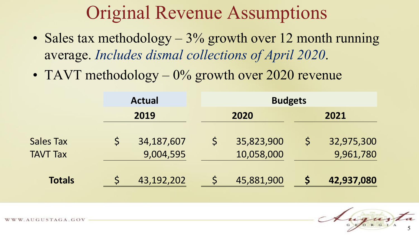## Original Revenue Assumptions

- Sales tax methodology 3% growth over 12 month running average. *Includes dismal collections of April 2020*.
- TAVT methodology  $-0\%$  growth over 2020 revenue

|                  |  | <b>Actual</b><br>2019 |  | <b>Budgets</b> |  |            |
|------------------|--|-----------------------|--|----------------|--|------------|
|                  |  |                       |  | 2020           |  | 2021       |
| <b>Sales Tax</b> |  | 34, 187, 607          |  | 35,823,900     |  | 32,975,300 |
| <b>TAVT Tax</b>  |  | 9,004,595             |  | 10,058,000     |  | 9,961,780  |
| <b>Totals</b>    |  | 43,192,202            |  | 45,881,900     |  | 42,937,080 |

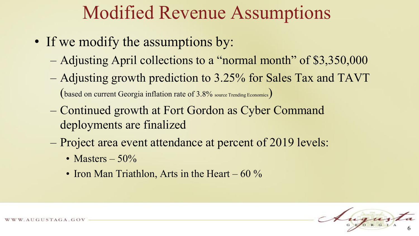### Modified Revenue Assumptions

- If we modify the assumptions by:
	- Adjusting April collections to a "normal month" of \$3,350,000
	- Adjusting growth prediction to 3.25% for Sales Tax and TAVT (based on current Georgia inflation rate of 3.8% source Trending Economics)
	- Continued growth at Fort Gordon as Cyber Command deployments are finalized
	- Project area event attendance at percent of 2019 levels:
		- Masters  $-50\%$
		- Iron Man Triathlon, Arts in the Heart 60  $\%$

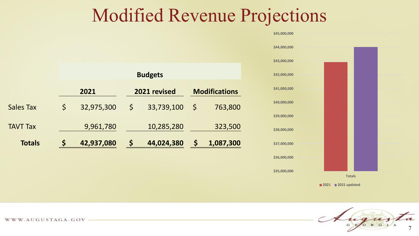### Modified Revenue Projections



 **\$45,000,000**

**2021 2021 updated**



|                  | <b>Budgets</b> |              |                      |            |              |           |
|------------------|----------------|--------------|----------------------|------------|--------------|-----------|
| 2021             |                | 2021 revised | <b>Modifications</b> |            |              |           |
| <b>Sales Tax</b> | $\varsigma$    | 32,975,300   | $\mathsf{S}$         | 33,739,100 | $\mathsf{S}$ | 763,800   |
| <b>TAVT Tax</b>  |                | 9,961,780    |                      | 10,285,280 |              | 323,500   |
| <b>Totals</b>    |                | 42,937,080   | \$                   | 44,024,380 | Ś            | 1,087,300 |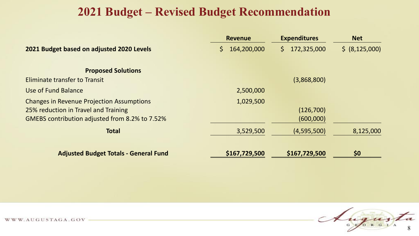#### **2021 Budget – Revised Budget Recommendation**

|                                                                                                                                            | <b>Revenue</b>    | <b>Expenditures</b>    | <b>Net</b>       |  |
|--------------------------------------------------------------------------------------------------------------------------------------------|-------------------|------------------------|------------------|--|
| 2021 Budget based on adjusted 2020 Levels                                                                                                  | 164,200,000<br>S. | 172,325,000<br>S.      | \$ (8, 125, 000) |  |
| <b>Proposed Solutions</b>                                                                                                                  |                   |                        |                  |  |
| Eliminate transfer to Transit                                                                                                              |                   | (3,868,800)            |                  |  |
| Use of Fund Balance                                                                                                                        | 2,500,000         |                        |                  |  |
| <b>Changes in Revenue Projection Assumptions</b><br>25% reduction in Travel and Training<br>GMEBS contribution adjusted from 8.2% to 7.52% | 1,029,500         | (126,700)<br>(600,000) |                  |  |
| <b>Total</b>                                                                                                                               | 3,529,500         | (4,595,500)            | 8,125,000        |  |
| <b>Adjusted Budget Totals - General Fund</b>                                                                                               | \$167,729,500     | \$167,729,500          | \$0              |  |